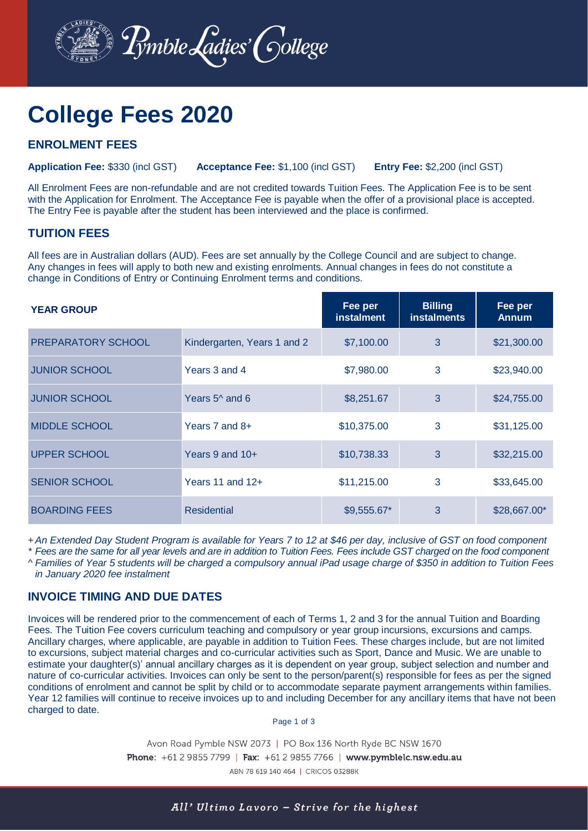

# **College Fees 2020**

## **ENROLMENT FEES**

**Application Fee:** \$330 (incl GST) **Acceptance Fee:** \$1,100 (incl GST) **Entry Fee:** \$2,200 (incl GST)

All Enrolment Fees are non-refundable and are not credited towards Tuition Fees. The Application Fee is to be sent with the Application for Enrolment. The Acceptance Fee is payable when the offer of a provisional place is accepted. The Entry Fee is payable after the student has been interviewed and the place is confirmed.

#### **TUITION FEES**

All fees are in Australian dollars (AUD). Fees are set annually by the College Council and are subject to change. Any changes in fees will apply to both new and existing enrolments. Annual changes in fees do not constitute a change in Conditions of Entry or Continuing Enrolment terms and conditions.

| <b>YEAR GROUP</b>         |                             | Fee per<br><b>instalment</b> | <b>Billing</b><br><b>instalments</b> | Fee per<br><b>Annum</b> |
|---------------------------|-----------------------------|------------------------------|--------------------------------------|-------------------------|
| <b>PREPARATORY SCHOOL</b> | Kindergarten, Years 1 and 2 | \$7,100.00                   | 3                                    | \$21,300.00             |
| <b>JUNIOR SCHOOL</b>      | Years 3 and 4               | \$7,980.00                   | 3                                    | \$23,940.00             |
| <b>JUNIOR SCHOOL</b>      | Years $5^{\wedge}$ and 6    | \$8,251.67                   | 3                                    | \$24,755.00             |
| <b>MIDDLE SCHOOL</b>      | Years 7 and $8+$            | \$10,375.00                  | 3                                    | \$31,125.00             |
| <b>UPPER SCHOOL</b>       | Years 9 and $10+$           | \$10,738.33                  | 3                                    | \$32,215.00             |
| <b>SENIOR SCHOOL</b>      | Years 11 and 12+            | \$11,215.00                  | 3                                    | \$33,645.00             |
| <b>BOARDING FEES</b>      | <b>Residential</b>          | \$9,555.67*                  | 3                                    | \$28,667.00*            |

+*An Extended Day Student Program is available for Years 7 to 12 at \$46 per day, inclusive of GST on food component*

*\* Fees are the same for all year levels and are in addition to Tuition Fees. Fees include GST charged on the food component ^ Families of Year 5 students will be charged a compulsory annual iPad usage charge of \$350 in addition to Tuition Fees* 

*in January 2020 fee instalment*

## **INVOICE TIMING AND DUE DATES**

Invoices will be rendered prior to the commencement of each of Terms 1, 2 and 3 for the annual Tuition and Boarding Fees. The Tuition Fee covers curriculum teaching and compulsory or year group incursions, excursions and camps. Ancillary charges, where applicable, are payable in addition to Tuition Fees. These charges include, but are not limited to excursions, subject material charges and co-curricular activities such as Sport, Dance and Music. We are unable to estimate your daughter(s)' annual ancillary charges as it is dependent on year group, subject selection and number and nature of co-curricular activities. Invoices can only be sent to the person/parent(s) responsible for fees as per the signed conditions of enrolment and cannot be split by child or to accommodate separate payment arrangements within families. Year 12 families will continue to receive invoices up to and including December for any ancillary items that have not been charged to date.

Page 1 of 3

Avon Road Pymble NSW 2073 | PO Box 136 North Ryde BC NSW 1670 Phone: +61 2 9855 7799 | Fax: +61 2 9855 7766 | www.pymblelc.nsw.edu.au ABN 78 619 140 464 | CRICOS 03288K

All' Ultimo Lavoro - Strive for the highest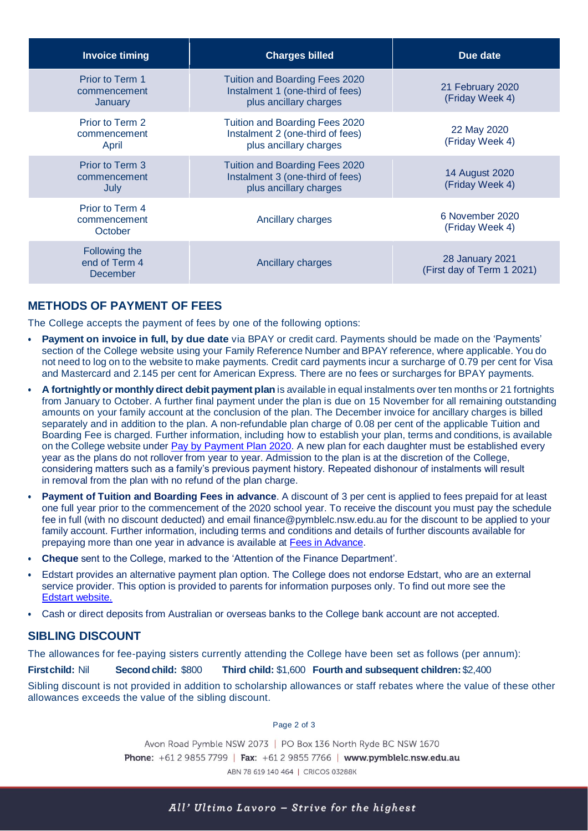| <b>Invoice timing</b>                      | <b>Charges billed</b>                                                                               | Due date                                             |  |
|--------------------------------------------|-----------------------------------------------------------------------------------------------------|------------------------------------------------------|--|
| Prior to Term 1<br>commencement<br>January | <b>Tuition and Boarding Fees 2020</b><br>Instalment 1 (one-third of fees)<br>plus ancillary charges | 21 February 2020<br>(Friday Week 4)                  |  |
| Prior to Term 2<br>commencement<br>April   | Tuition and Boarding Fees 2020<br>Instalment 2 (one-third of fees)<br>plus ancillary charges        | 22 May 2020<br>(Friday Week 4)                       |  |
| Prior to Term 3<br>commencement<br>July    | <b>Tuition and Boarding Fees 2020</b><br>Instalment 3 (one-third of fees)<br>plus ancillary charges | 14 August 2020<br>(Friday Week 4)                    |  |
| Prior to Term 4<br>commencement<br>October | Ancillary charges                                                                                   | 6 November 2020<br>(Friday Week 4)                   |  |
| Following the<br>end of Term 4<br>December | Ancillary charges                                                                                   | <b>28 January 2021</b><br>(First day of Term 1 2021) |  |

# **METHODS OF PAYMENT OF FEES**

The College accepts the payment of fees by one of the following options:

- **Payment on invoice in full, by due date** via BPAY or credit card. Payments should be made on the 'Payments' section of the College website using your Family Reference Number and BPAY reference, where applicable. You do not need to log on to the website to make payments. Credit card payments incur a surcharge of 0.79 per cent for Visa and Mastercard and 2.145 per cent for American Express. There are no fees or surcharges for BPAY payments.
- **A fortnightlyor monthly direct debit payment plan** is available in equal instalments over ten months or 21 fortnights from January to October. A further final payment under the plan is due on 15 November for all remaining outstanding amounts on your family account at the conclusion of the plan. The December invoice for ancillary charges is billed separately and in addition to the plan. A non-refundable plan charge of 0.08 per cent of the applicable Tuition and Boarding Fee is charged. Further information, including how to establish your plan, terms and conditions, is available on the College website under [Pay by Payment Plan 2020.](https://www.pymblelc.nsw.edu.au/pdf/finance/pay-by-payment-plan) A new plan for each daughter must be established every year as the plans do not rollover from year to year. Admission to the plan is at the discretion of the College, considering matters such as a family's previous payment history. Repeated dishonour of instalments will result in removal from the plan with no refund of the plan charge.
- **Payment of Tuition and Boarding Fees in advance**. A discount of 3 per cent is applied to fees prepaid for at least one full year prior to the commencement of the 2020 school year. To receive the discount you must pay the schedule fee in full (with no discount deducted) and email [finance@pymblelc.nsw.edu.au](mailto:finance@pymblelc.nsw.edu.au) for the discount to be applied to your family account. Further information, including terms and conditions and details of further discounts available for prepaying more than one year in advance is available at [Fees in Advance.](https://www.pymblelc.nsw.edu.au/pdf/finance/college-fees-in-advance)
- **Cheque** sent to the College, marked to the 'Attention of the Finance Department'.
- [Edstart](https://edstart.com.au/) provides an alternative payment plan option. The College does not endorse Edstart, who are an external service provider. This option is provided to parents for information purposes only. To find out more see the [Edstart website.](https://edstart.com.au/)
- Cash or direct deposits from Australian or overseas banks to the College bank account are not accepted.

## **SIBLING DISCOUNT**

The allowances for fee-paying sisters currently attending the College have been set as follows (per annum):

**Firstchild:** Nil **Second child:** \$800 **Third child:** \$1,600 **Fourth and subsequent children:** \$2,400

Sibling discount is not provided in addition to scholarship allowances or staff rebates where the value of these other allowances exceeds the value of the sibling discount.

Page 2 of 3

Avon Road Pymble NSW 2073 | PO Box 136 North Ryde BC NSW 1670 Phone: +61 2 9855 7799 | Fax: +61 2 9855 7766 | www.pymblelc.nsw.edu.au ABN 78 619 140 464 | CRICOS 03288K

All' Ultimo Lavoro - Strive for the highest